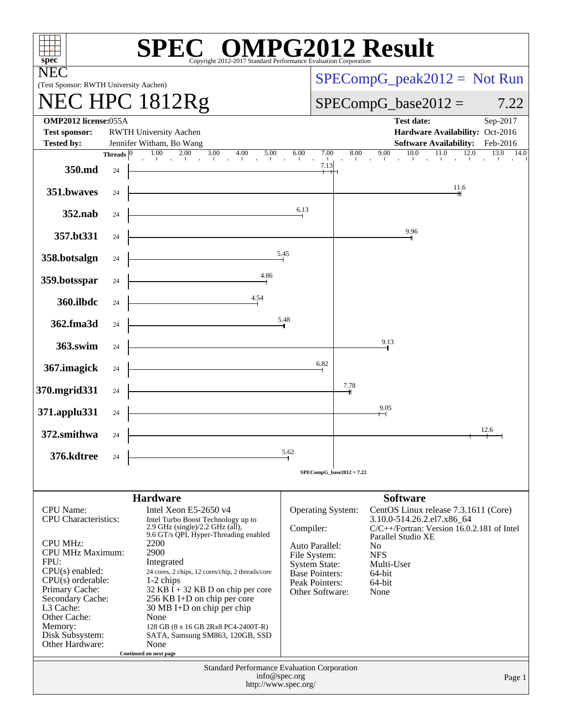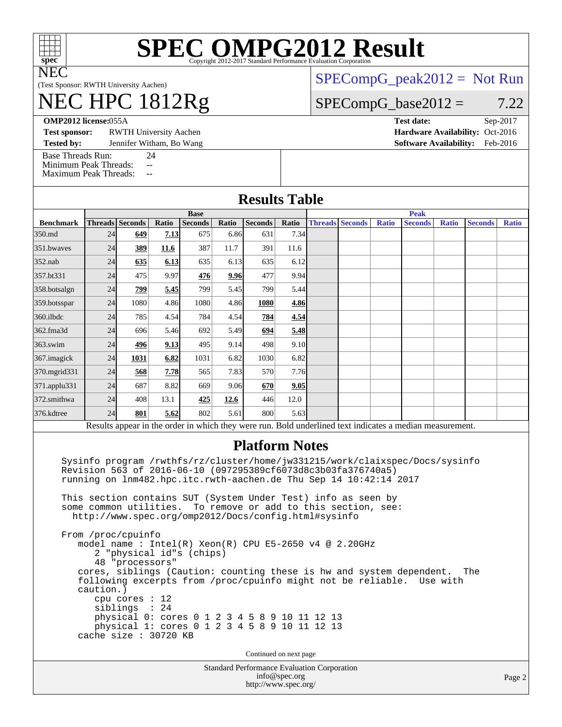

# **[SPEC OMPG2012 Result](http://www.spec.org/auto/omp2012/Docs/result-fields.html#SPECOMPG2012Result)**

(Test Sponsor: RWTH University Aachen)

# NEC HPC 1812Rg

[SPECompG\\_peak2012 =](http://www.spec.org/auto/omp2012/Docs/result-fields.html#SPECompGpeak2012) Not Run

### $SPECompG_base2012 = 7.22$  $SPECompG_base2012 = 7.22$

**[OMP2012 license:](http://www.spec.org/auto/omp2012/Docs/result-fields.html#OMP2012license)**055A **[Test date:](http://www.spec.org/auto/omp2012/Docs/result-fields.html#Testdate)** Sep-2017

**[Test sponsor:](http://www.spec.org/auto/omp2012/Docs/result-fields.html#Testsponsor)** RWTH University Aachen **[Hardware Availability:](http://www.spec.org/auto/omp2012/Docs/result-fields.html#HardwareAvailability)** Oct-2016

**[Tested by:](http://www.spec.org/auto/omp2012/Docs/result-fields.html#Testedby)** Jennifer Witham, Bo Wang **[Software Availability:](http://www.spec.org/auto/omp2012/Docs/result-fields.html#SoftwareAvailability)** Feb-2016

[Base Threads Run:](http://www.spec.org/auto/omp2012/Docs/result-fields.html#BaseThreadsRun) 24

[Minimum Peak Threads:](http://www.spec.org/auto/omp2012/Docs/result-fields.html#MinimumPeakThreads) --<br>Maximum Peak Threads: --

[Maximum Peak Threads:](http://www.spec.org/auto/omp2012/Docs/result-fields.html#MaximumPeakThreads)

|                  |             |                                                                                                                                  |       |                |       | <b>Results Table</b>                                                                                                                                                                                                                                                                                                                                                                                              |               |  |                        |       |                                                                                                                                                                                                                               |              |         |              |  |
|------------------|-------------|----------------------------------------------------------------------------------------------------------------------------------|-------|----------------|-------|-------------------------------------------------------------------------------------------------------------------------------------------------------------------------------------------------------------------------------------------------------------------------------------------------------------------------------------------------------------------------------------------------------------------|---------------|--|------------------------|-------|-------------------------------------------------------------------------------------------------------------------------------------------------------------------------------------------------------------------------------|--------------|---------|--------------|--|
|                  | <b>Base</b> |                                                                                                                                  |       |                |       |                                                                                                                                                                                                                                                                                                                                                                                                                   |               |  | <b>Peak</b>            |       |                                                                                                                                                                                                                               |              |         |              |  |
| <b>Benchmark</b> |             | Threads Seconds                                                                                                                  | Ratio | <b>Seconds</b> | Ratio | Seconds                                                                                                                                                                                                                                                                                                                                                                                                           | Ratio         |  | <b>Threads Seconds</b> | Ratio | <b>Seconds</b>                                                                                                                                                                                                                | <b>Ratio</b> | Seconds | <b>Ratio</b> |  |
| 350.md           | 24          | 649                                                                                                                              | 7.13  | 675            | 6.86  | 631                                                                                                                                                                                                                                                                                                                                                                                                               | 7.34          |  |                        |       |                                                                                                                                                                                                                               |              |         |              |  |
| 351.bwaves       | 24          | 389                                                                                                                              | 11.6  | 387            | 11.7  | 391                                                                                                                                                                                                                                                                                                                                                                                                               | 11.6          |  |                        |       |                                                                                                                                                                                                                               |              |         |              |  |
| 352.nab          | 24          | 635                                                                                                                              | 6.13  | 635            | 6.13  | 635                                                                                                                                                                                                                                                                                                                                                                                                               | 6.12          |  |                        |       |                                                                                                                                                                                                                               |              |         |              |  |
| 357.bt331        | 24          | 475                                                                                                                              | 9.97  | 476            | 9.96  | 477                                                                                                                                                                                                                                                                                                                                                                                                               | 9.94          |  |                        |       |                                                                                                                                                                                                                               |              |         |              |  |
| 358.botsalgn     | 24          | 799                                                                                                                              | 5.45  | 799            | 5.45  | 799                                                                                                                                                                                                                                                                                                                                                                                                               | 5.44          |  |                        |       |                                                                                                                                                                                                                               |              |         |              |  |
| 359.botsspar     | 24          | 1080                                                                                                                             | 4.86  | 1080           | 4.86  | 1080                                                                                                                                                                                                                                                                                                                                                                                                              | 4.86          |  |                        |       |                                                                                                                                                                                                                               |              |         |              |  |
| 360.ilbdc        | 24          | 785                                                                                                                              | 4.54  | 784            | 4.54  | 784                                                                                                                                                                                                                                                                                                                                                                                                               | 4.54          |  |                        |       |                                                                                                                                                                                                                               |              |         |              |  |
| 362.fma3d        | 24          | 696                                                                                                                              | 5.46  | 692            | 5.49  | 694                                                                                                                                                                                                                                                                                                                                                                                                               | 5.48          |  |                        |       |                                                                                                                                                                                                                               |              |         |              |  |
| 363.swim         | 24          | 496                                                                                                                              | 9.13  | 495            | 9.14  | 498                                                                                                                                                                                                                                                                                                                                                                                                               | 9.10          |  |                        |       |                                                                                                                                                                                                                               |              |         |              |  |
| 367. imagick     | 24          | 1031                                                                                                                             | 6.82  | 1031           | 6.82  | 1030                                                                                                                                                                                                                                                                                                                                                                                                              | 6.82          |  |                        |       |                                                                                                                                                                                                                               |              |         |              |  |
| 370.mgrid331     | 24          | 568                                                                                                                              | 7.78  | 565            | 7.83  | 570                                                                                                                                                                                                                                                                                                                                                                                                               | 7.76          |  |                        |       |                                                                                                                                                                                                                               |              |         |              |  |
| 371.applu331     | 24          | 687                                                                                                                              | 8.82  | 669            | 9.06  | 670                                                                                                                                                                                                                                                                                                                                                                                                               | 9.05          |  |                        |       |                                                                                                                                                                                                                               |              |         |              |  |
| 372.smithwa      | 24          | 408                                                                                                                              | 13.1  | 425            | 12.6  | 446                                                                                                                                                                                                                                                                                                                                                                                                               | 12.0          |  |                        |       |                                                                                                                                                                                                                               |              |         |              |  |
| 376.kdtree       | 24          | 801                                                                                                                              | 5.62  | 802            | 5.61  | 800                                                                                                                                                                                                                                                                                                                                                                                                               | 5.63          |  |                        |       |                                                                                                                                                                                                                               |              |         |              |  |
|                  |             |                                                                                                                                  |       |                |       |                                                                                                                                                                                                                                                                                                                                                                                                                   |               |  |                        |       | Results appear in the order in which they were run. Bold underlined text indicates a median measurement.                                                                                                                      |              |         |              |  |
|                  | caution.)   | some common utilities.<br>From /proc/cpuinfo<br>2 "physical id"s (chips)<br>48 "processors"<br>cpu cores : $12$<br>siblings : 24 |       |                |       | Revision 563 of 2016-06-10 (097295389cf6073d8c3b03fa376740a5)<br>running on lnm482.hpc.itc.rwth-aachen.de Thu Sep 14 10:42:14 2017<br>This section contains SUT (System Under Test) info as seen by<br>To remove or add to this section, see:<br>http://www.spec.org/omp2012/Docs/config.html#sysinfo<br>model name: $Intel(R)$ Xeon(R) CPU E5-2650 v4 @ 2.20GHz<br>physical 0: cores 0 1 2 3 4 5 8 9 10 11 12 13 |               |  |                        |       | Sysinfo program /rwthfs/rz/cluster/home/jw331215/work/claixspec/Docs/sysinfo<br>cores, siblings (Caution: counting these is hw and system dependent.<br>following excerpts from /proc/cpuinfo might not be reliable. Use with |              | The     |              |  |
|                  |             | cache size : 30720 KB                                                                                                            |       |                |       | physical 1: cores 0 1 2 3 4 5 8 9 10 11 12 13<br>Continued on next page                                                                                                                                                                                                                                                                                                                                           |               |  |                        |       |                                                                                                                                                                                                                               |              |         |              |  |
|                  |             |                                                                                                                                  |       |                |       | <b>Standard Performance Evaluation Corporation</b>                                                                                                                                                                                                                                                                                                                                                                |               |  |                        |       |                                                                                                                                                                                                                               |              |         |              |  |
|                  |             |                                                                                                                                  |       |                |       | http://www.spec.org/                                                                                                                                                                                                                                                                                                                                                                                              | info@spec.org |  |                        |       |                                                                                                                                                                                                                               |              |         | Page         |  |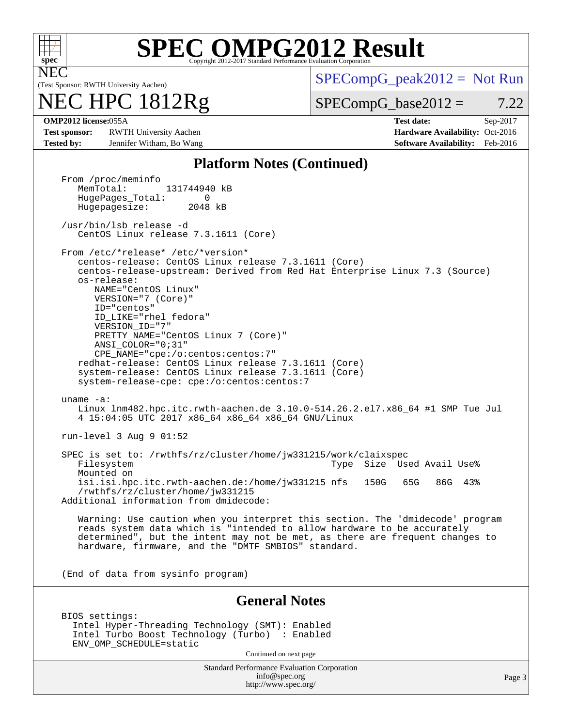

# **[SPEC OMPG2012 Result](http://www.spec.org/auto/omp2012/Docs/result-fields.html#SPECOMPG2012Result)**

(Test Sponsor: RWTH University Aachen)

## NEC HPC 1812Rg

 $SPECompG_peak2012 = Not Run$  $SPECompG_peak2012 = Not Run$ 

 $SPECompG_base2012 = 7.22$  $SPECompG_base2012 = 7.22$ 

**[Test sponsor:](http://www.spec.org/auto/omp2012/Docs/result-fields.html#Testsponsor)** RWTH University Aachen **[Hardware Availability:](http://www.spec.org/auto/omp2012/Docs/result-fields.html#HardwareAvailability)** Oct-2016 **[Tested by:](http://www.spec.org/auto/omp2012/Docs/result-fields.html#Testedby)** Jennifer Witham, Bo Wang **[Software Availability:](http://www.spec.org/auto/omp2012/Docs/result-fields.html#SoftwareAvailability)** Feb-2016

**[OMP2012 license:](http://www.spec.org/auto/omp2012/Docs/result-fields.html#OMP2012license)**055A **[Test date:](http://www.spec.org/auto/omp2012/Docs/result-fields.html#Testdate)** Sep-2017

#### **[Platform Notes \(Continued\)](http://www.spec.org/auto/omp2012/Docs/result-fields.html#PlatformNotes)**

Standard Performance Evaluation Corporation [info@spec.org](mailto:info@spec.org) <http://www.spec.org/> Page 3 From /proc/meminfo<br>MemTotal: 131744940 kB HugePages\_Total: 0<br>Hugepagesize: 2048 kB Hugepagesize: /usr/bin/lsb\_release -d CentOS Linux release 7.3.1611 (Core) From /etc/\*release\* /etc/\*version\* centos-release: CentOS Linux release 7.3.1611 (Core) centos-release-upstream: Derived from Red Hat Enterprise Linux 7.3 (Source) os-release: NAME="CentOS Linux" VERSION="7 (Core)" ID="centos" ID\_LIKE="rhel fedora" VERSION\_ID="7" PRETTY\_NAME="CentOS Linux 7 (Core)" ANSI\_COLOR="0;31" CPE\_NAME="cpe:/o:centos:centos:7" redhat-release: CentOS Linux release 7.3.1611 (Core) system-release: CentOS Linux release 7.3.1611 (Core) system-release-cpe: cpe:/o:centos:centos:7 uname -a: Linux lnm482.hpc.itc.rwth-aachen.de 3.10.0-514.26.2.el7.x86\_64 #1 SMP Tue Jul 4 15:04:05 UTC 2017 x86\_64 x86\_64 x86\_64 GNU/Linux run-level 3 Aug 9 01:52 SPEC is set to: /rwthfs/rz/cluster/home/jw331215/work/claixspec<br>Filesystem 1998 Type Size Used Avail Use% Mounted on isi.isi.hpc.itc.rwth-aachen.de:/home/jw331215 nfs 150G 65G 86G 43% /rwthfs/rz/cluster/home/jw331215 Additional information from dmidecode: Warning: Use caution when you interpret this section. The 'dmidecode' program reads system data which is "intended to allow hardware to be accurately determined", but the intent may not be met, as there are frequent changes to hardware, firmware, and the "DMTF SMBIOS" standard. (End of data from sysinfo program) **[General Notes](http://www.spec.org/auto/omp2012/Docs/result-fields.html#GeneralNotes)** BIOS settings: Intel Hyper-Threading Technology (SMT): Enabled Intel Turbo Boost Technology (Turbo) : Enabled ENV\_OMP\_SCHEDULE=static Continued on next page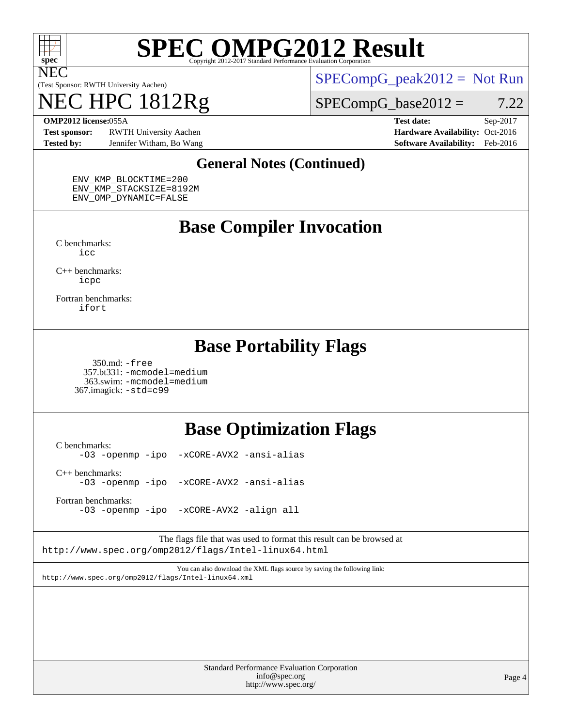

# **[SPEC OMPG2012 Result](http://www.spec.org/auto/omp2012/Docs/result-fields.html#SPECOMPG2012Result)**

(Test Sponsor: RWTH University Aachen)

## NEC HPC 1812Rg

 $SPECompG_peak2012 = Not Run$  $SPECompG_peak2012 = Not Run$ 

 $SPECompG_base2012 = 7.22$  $SPECompG_base2012 = 7.22$ 

**[Test sponsor:](http://www.spec.org/auto/omp2012/Docs/result-fields.html#Testsponsor)** RWTH University Aachen **[Hardware Availability:](http://www.spec.org/auto/omp2012/Docs/result-fields.html#HardwareAvailability)** Oct-2016 **[Tested by:](http://www.spec.org/auto/omp2012/Docs/result-fields.html#Testedby)** Jennifer Witham, Bo Wang **[Software Availability:](http://www.spec.org/auto/omp2012/Docs/result-fields.html#SoftwareAvailability)** Feb-2016

**[OMP2012 license:](http://www.spec.org/auto/omp2012/Docs/result-fields.html#OMP2012license)**055A **[Test date:](http://www.spec.org/auto/omp2012/Docs/result-fields.html#Testdate)** Sep-2017

#### **[General Notes \(Continued\)](http://www.spec.org/auto/omp2012/Docs/result-fields.html#GeneralNotes)**

 ENV\_KMP\_BLOCKTIME=200 ENV\_KMP\_STACKSIZE=8192M ENV\_OMP\_DYNAMIC=FALSE

### **[Base Compiler Invocation](http://www.spec.org/auto/omp2012/Docs/result-fields.html#BaseCompilerInvocation)**

[C benchmarks](http://www.spec.org/auto/omp2012/Docs/result-fields.html#Cbenchmarks): [icc](http://www.spec.org/omp2012/results/res2017q4/omp2012-20170927-00123.flags.html#user_CCbase_intel_icc_a87c68a857bc5ec5362391a49d3a37a6)

[C++ benchmarks:](http://www.spec.org/auto/omp2012/Docs/result-fields.html#CXXbenchmarks) [icpc](http://www.spec.org/omp2012/results/res2017q4/omp2012-20170927-00123.flags.html#user_CXXbase_intel_icpc_2d899f8d163502b12eb4a60069f80c1c)

[Fortran benchmarks](http://www.spec.org/auto/omp2012/Docs/result-fields.html#Fortranbenchmarks): [ifort](http://www.spec.org/omp2012/results/res2017q4/omp2012-20170927-00123.flags.html#user_FCbase_intel_ifort_8a5e5e06b19a251bdeaf8fdab5d62f20)

### **[Base Portability Flags](http://www.spec.org/auto/omp2012/Docs/result-fields.html#BasePortabilityFlags)**

 350.md: [-free](http://www.spec.org/omp2012/results/res2017q4/omp2012-20170927-00123.flags.html#user_baseFPORTABILITY350_md_f-FR_e51be0673775d2012b3310fa5323f530) 357.bt331: [-mcmodel=medium](http://www.spec.org/omp2012/results/res2017q4/omp2012-20170927-00123.flags.html#user_baseFPORTABILITY357_bt331_f-mcmodel_3a41622424bdd074c4f0f2d2f224c7e5) 363.swim: [-mcmodel=medium](http://www.spec.org/omp2012/results/res2017q4/omp2012-20170927-00123.flags.html#user_baseFPORTABILITY363_swim_f-mcmodel_3a41622424bdd074c4f0f2d2f224c7e5) 367.imagick: [-std=c99](http://www.spec.org/omp2012/results/res2017q4/omp2012-20170927-00123.flags.html#user_baseCPORTABILITY367_imagick_f-std_2ec6533b6e06f1c4a6c9b78d9e9cde24)

### **[Base Optimization Flags](http://www.spec.org/auto/omp2012/Docs/result-fields.html#BaseOptimizationFlags)**

[C benchmarks](http://www.spec.org/auto/omp2012/Docs/result-fields.html#Cbenchmarks): [-O3](http://www.spec.org/omp2012/results/res2017q4/omp2012-20170927-00123.flags.html#user_CCbase_f-O3) [-openmp](http://www.spec.org/omp2012/results/res2017q4/omp2012-20170927-00123.flags.html#user_CCbase_f-openmp) [-ipo](http://www.spec.org/omp2012/results/res2017q4/omp2012-20170927-00123.flags.html#user_CCbase_f-ipo_84062ab53814f613187d02344b8f49a7) [-xCORE-AVX2](http://www.spec.org/omp2012/results/res2017q4/omp2012-20170927-00123.flags.html#user_CCbase_f-xCORE-AVX2) [-ansi-alias](http://www.spec.org/omp2012/results/res2017q4/omp2012-20170927-00123.flags.html#user_CCbase_f-ansi-alias) [C++ benchmarks:](http://www.spec.org/auto/omp2012/Docs/result-fields.html#CXXbenchmarks) [-O3](http://www.spec.org/omp2012/results/res2017q4/omp2012-20170927-00123.flags.html#user_CXXbase_f-O3) [-openmp](http://www.spec.org/omp2012/results/res2017q4/omp2012-20170927-00123.flags.html#user_CXXbase_f-openmp) [-ipo](http://www.spec.org/omp2012/results/res2017q4/omp2012-20170927-00123.flags.html#user_CXXbase_f-ipo_84062ab53814f613187d02344b8f49a7) [-xCORE-AVX2](http://www.spec.org/omp2012/results/res2017q4/omp2012-20170927-00123.flags.html#user_CXXbase_f-xCORE-AVX2) [-ansi-alias](http://www.spec.org/omp2012/results/res2017q4/omp2012-20170927-00123.flags.html#user_CXXbase_f-ansi-alias) [Fortran benchmarks](http://www.spec.org/auto/omp2012/Docs/result-fields.html#Fortranbenchmarks):

[-O3](http://www.spec.org/omp2012/results/res2017q4/omp2012-20170927-00123.flags.html#user_FCbase_f-O3) [-openmp](http://www.spec.org/omp2012/results/res2017q4/omp2012-20170927-00123.flags.html#user_FCbase_f-openmp) [-ipo](http://www.spec.org/omp2012/results/res2017q4/omp2012-20170927-00123.flags.html#user_FCbase_f-ipo_84062ab53814f613187d02344b8f49a7) [-xCORE-AVX2](http://www.spec.org/omp2012/results/res2017q4/omp2012-20170927-00123.flags.html#user_FCbase_f-xCORE-AVX2) [-align all](http://www.spec.org/omp2012/results/res2017q4/omp2012-20170927-00123.flags.html#user_FCbase_f-align_1ebfa66158b49aff21b037afc4046011)

The flags file that was used to format this result can be browsed at <http://www.spec.org/omp2012/flags/Intel-linux64.html>

You can also download the XML flags source by saving the following link: <http://www.spec.org/omp2012/flags/Intel-linux64.xml>

| <b>Standard Performance Evaluation Corporation</b> |
|----------------------------------------------------|
| info@spec.org                                      |
| http://www.spec.org/                               |